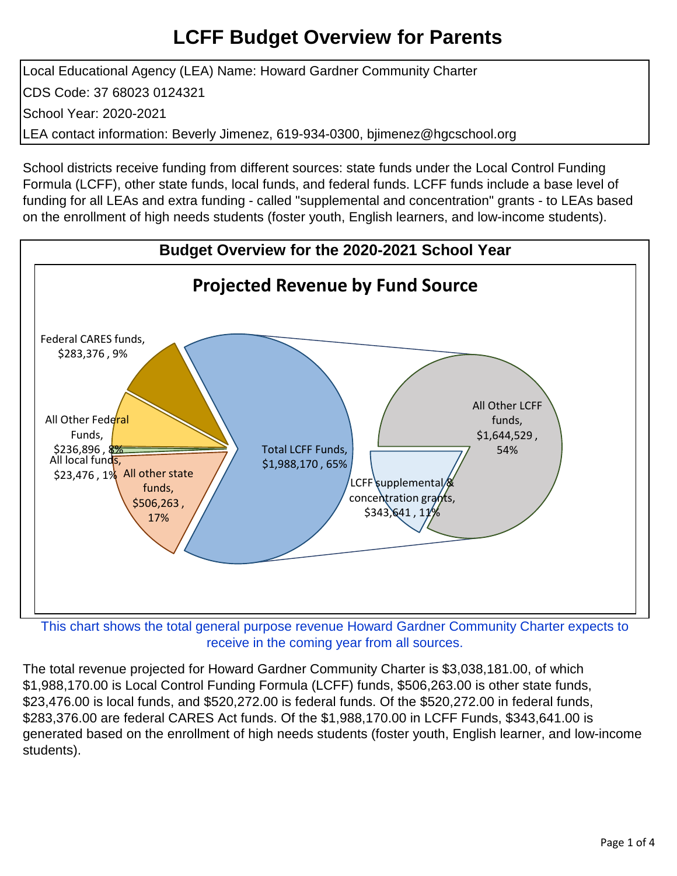Local Educational Agency (LEA) Name: Howard Gardner Community Charter CDS Code: 37 68023 0124321 School Year: 2020-2021 LEA contact information: Beverly Jimenez, 619-934-0300, bjimenez@hgcschool.org

School districts receive funding from different sources: state funds under the Local Control Funding Formula (LCFF), other state funds, local funds, and federal funds. LCFF funds include a base level of funding for all LEAs and extra funding - called "supplemental and concentration" grants - to LEAs based on the enrollment of high needs students (foster youth, English learners, and low-income students).



receive in the coming year from all sources.

The total revenue projected for Howard Gardner Community Charter is \$3,038,181.00, of which \$1,988,170.00 is Local Control Funding Formula (LCFF) funds, \$506,263.00 is other state funds, \$23,476.00 is local funds, and \$520,272.00 is federal funds. Of the \$520,272.00 in federal funds, \$283,376.00 are federal CARES Act funds. Of the \$1,988,170.00 in LCFF Funds, \$343,641.00 is generated based on the enrollment of high needs students (foster youth, English learner, and low-income students).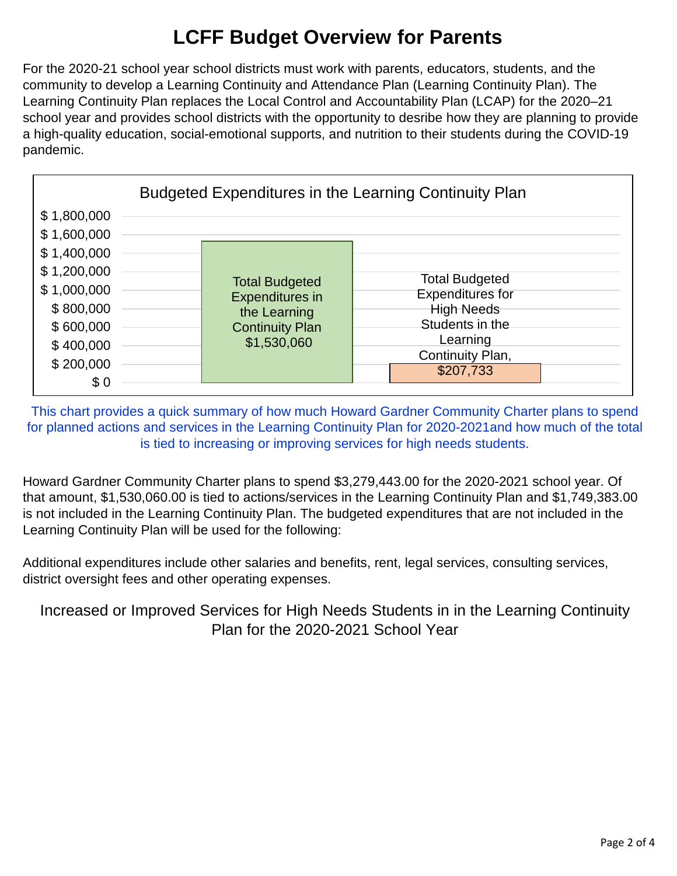For the 2020-21 school year school districts must work with parents, educators, students, and the community to develop a Learning Continuity and Attendance Plan (Learning Continuity Plan). The Learning Continuity Plan replaces the Local Control and Accountability Plan (LCAP) for the 2020–21 school year and provides school districts with the opportunity to desribe how they are planning to provide a high-quality education, social-emotional supports, and nutrition to their students during the COVID-19 pandemic.



This chart provides a quick summary of how much Howard Gardner Community Charter plans to spend for planned actions and services in the Learning Continuity Plan for 2020-2021and how much of the total is tied to increasing or improving services for high needs students.

Howard Gardner Community Charter plans to spend \$3,279,443.00 for the 2020-2021 school year. Of that amount, \$1,530,060.00 is tied to actions/services in the Learning Continuity Plan and \$1,749,383.00 is not included in the Learning Continuity Plan. The budgeted expenditures that are not included in the Learning Continuity Plan will be used for the following:

Additional expenditures include other salaries and benefits, rent, legal services, consulting services, district oversight fees and other operating expenses.

Increased or Improved Services for High Needs Students in in the Learning Continuity Plan for the 2020-2021 School Year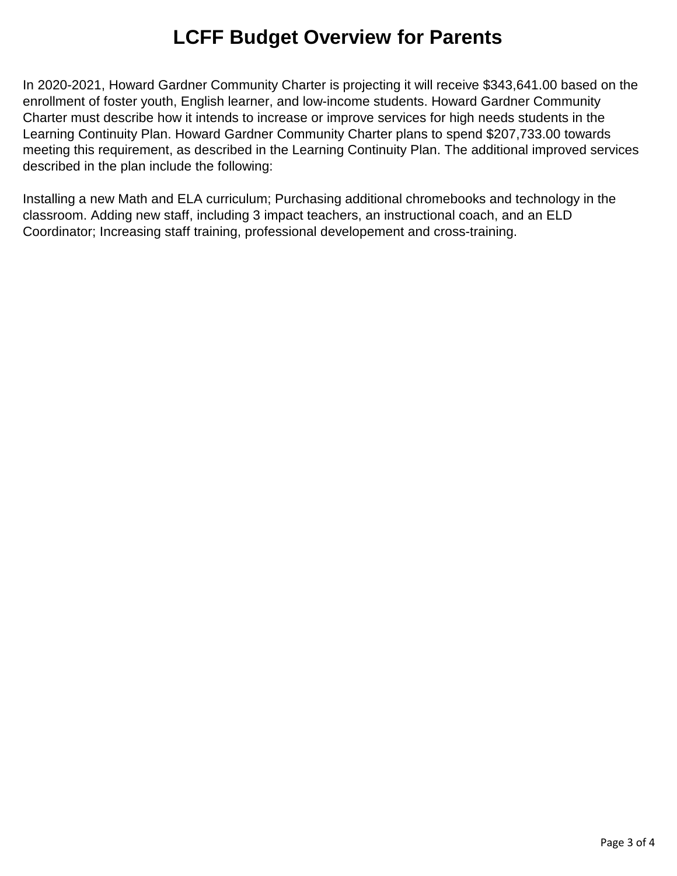In 2020-2021, Howard Gardner Community Charter is projecting it will receive \$343,641.00 based on the enrollment of foster youth, English learner, and low-income students. Howard Gardner Community Charter must describe how it intends to increase or improve services for high needs students in the Learning Continuity Plan. Howard Gardner Community Charter plans to spend \$207,733.00 towards meeting this requirement, as described in the Learning Continuity Plan. The additional improved services described in the plan include the following:

Installing a new Math and ELA curriculum; Purchasing additional chromebooks and technology in the classroom. Adding new staff, including 3 impact teachers, an instructional coach, and an ELD Coordinator; Increasing staff training, professional developement and cross-training.